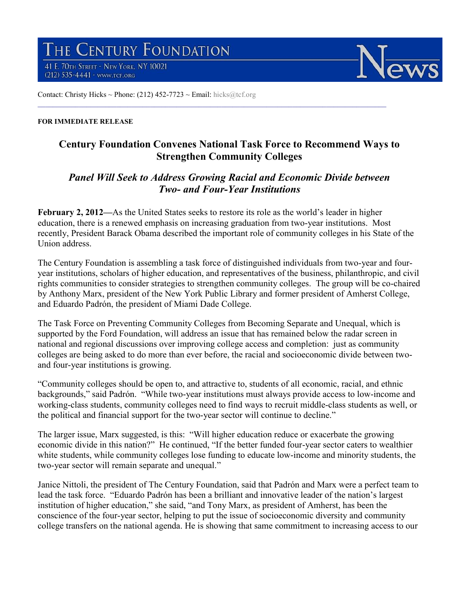THE CENTURY FOUNDATION 41 E. 70TH STREET - NEW YORK, NY 10021

(212) 535-4441 - www.tcf.org



Contact: Christy Hicks ~ Phone: (212)  $452-7723$  ~ Email: hicks@tcf.org

## **FOR IMMEDIATE RELEASE**

## **Century Foundation Convenes National Task Force to Recommend Ways to Strengthen Community Colleges**

 $\_$  ,  $\_$  ,  $\_$  ,  $\_$  ,  $\_$  ,  $\_$  ,  $\_$  ,  $\_$  ,  $\_$  ,  $\_$  ,  $\_$  ,  $\_$  ,  $\_$  ,  $\_$  ,  $\_$  ,  $\_$  ,  $\_$  ,  $\_$  ,  $\_$  ,  $\_$  ,  $\_$  ,  $\_$  ,  $\_$  ,  $\_$  ,  $\_$  ,  $\_$  ,  $\_$  ,  $\_$  ,  $\_$  ,  $\_$  ,  $\_$  ,  $\_$  ,  $\_$  ,  $\_$  ,  $\_$  ,  $\_$  ,  $\_$  ,

## *Panel Will Seek to Address Growing Racial and Economic Divide between Two- and Four-Year Institutions*

**February 2, 2012––**As the United States seeks to restore its role as the world's leader in higher education, there is a renewed emphasis on increasing graduation from two-year institutions. Most recently, President Barack Obama described the important role of community colleges in his State of the Union address.

The Century Foundation is assembling a task force of distinguished individuals from two-year and fouryear institutions, scholars of higher education, and representatives of the business, philanthropic, and civil rights communities to consider strategies to strengthen community colleges. The group will be co-chaired by Anthony Marx, president of the New York Public Library and former president of Amherst College, and Eduardo Padrón, the president of Miami Dade College.

The Task Force on Preventing Community Colleges from Becoming Separate and Unequal, which is supported by the Ford Foundation, will address an issue that has remained below the radar screen in national and regional discussions over improving college access and completion: just as community colleges are being asked to do more than ever before, the racial and socioeconomic divide between twoand four-year institutions is growing.

"Community colleges should be open to, and attractive to, students of all economic, racial, and ethnic backgrounds," said Padrón. "While two-year institutions must always provide access to low-income and working-class students, community colleges need to find ways to recruit middle-class students as well, or the political and financial support for the two-year sector will continue to decline."

The larger issue, Marx suggested, is this: "Will higher education reduce or exacerbate the growing economic divide in this nation?" He continued, "If the better funded four-year sector caters to wealthier white students, while community colleges lose funding to educate low-income and minority students, the two-year sector will remain separate and unequal."

Janice Nittoli, the president of The Century Foundation, said that Padrón and Marx were a perfect team to lead the task force. "Eduardo Padrón has been a brilliant and innovative leader of the nation's largest institution of higher education," she said, "and Tony Marx, as president of Amherst, has been the conscience of the four-year sector, helping to put the issue of socioeconomic diversity and community college transfers on the national agenda. He is showing that same commitment to increasing access to our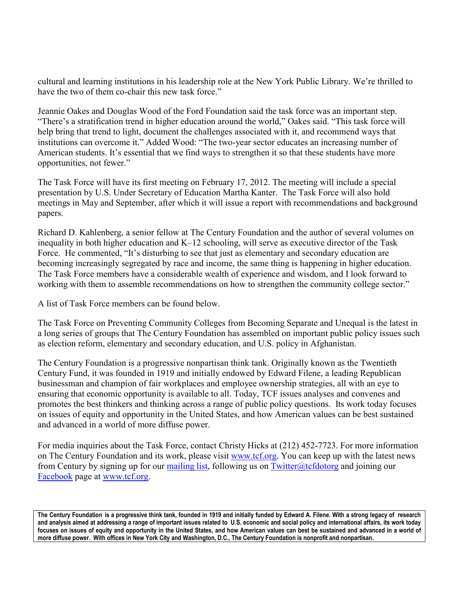cultural and learning institutions in his leadership role at the New York Public Library. We're thrilled to have the two of them co-chair this new task force."

Jeannie Oakes and Douglas Wood of the Ford Foundation said the task force was an important step. "There's a stratification trend in higher education around the world," Oakes said. "This task force will help bring that trend to light, document the challenges associated with it, and recommend ways that institutions can overcome it." Added Wood: "The two-year sector educates an increasing number of American students. It's essential that we find ways to strengthen it so that these students have more opportunities, not fewer."

The Task Force will have its first meeting on February 17, 2012. The meeting will include a special presentation by U.S. Under Secretary of Education Martha Kanter. The Task Force will also hold meetings in May and September, after which it will issue a report with recommendations and background papers.

Richard D. Kahlenberg, a senior fellow at The Century Foundation and the author of several volumes on inequality in both higher education and K–12 schooling, will serve as executive director of the Task Force. He commented, "It's disturbing to see that just as elementary and secondary education are becoming increasingly segregated by race and income, the same thing is happening in higher education. The Task Force members have a considerable wealth of experience and wisdom, and I look forward to working with them to assemble recommendations on how to strengthen the community college sector."

A list of Task Force members can be found below.

The Task Force on Preventing Community Colleges from Becoming Separate and Unequal is the latest in a long series of groups that The Century Foundation has assembled on important public policy issues such as election reform, elementary and secondary education, and U.S. policy in Afghanistan.

The Century Foundation is a progressive nonpartisan think tank. Originally known as the Twentieth Century Fund, it was founded in 1919 and initially endowed by Edward Filene, a leading Republican businessman and champion of fair workplaces and employee ownership strategies, all with an eye to ensuring that economic opportunity is available to all. Today, TCF issues analyses and convenes and promotes the best thinkers and thinking across a range of public policy questions. Its work today focuses on issues of equity and opportunity in the United States, and how American values can be best sustained and advanced in a world of more diffuse power.

For media inquiries about the Task Force, contact Christy Hicks at (212) 452-7723. For more information on The Century Foundation and its work, please visit www.tcf.org. You can keep up with the latest news from Century by signing up for our mailing list, following us on Twitter@tcfdotorg and joining our Facebook page at www.tcf.org.

**The Century Foundation is a progressive think tank, founded in 1919 and initially funded by Edward A. Filene. With a strong legacy of research and analysis aimed at addressing a range of important issues related to U.S. economic and social policy and international affairs, its work today focuses on issues of equity and opportunity in the United States, and how American values can best be sustained and advanced in a world of more diffuse power. With offices in New York City and Washington, D.C., The Century Foundation is nonprofit and nonpartisan.**